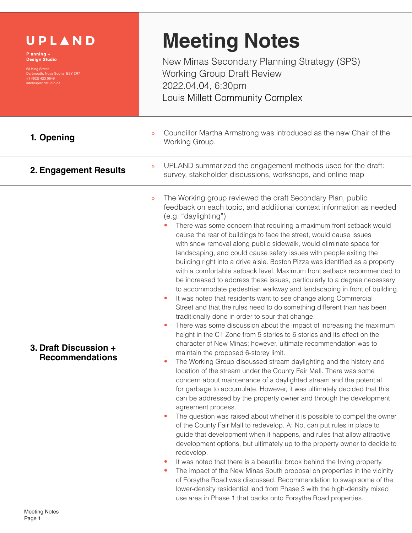| UPLAND<br>Planning +<br><b>Design Studio</b><br>63 King Street<br>Dartmouth, Nova Scotia B2Y 2R7<br>+1 (902) 423 0649<br>info@uplandstudio.ca | <b>Meeting Notes</b><br>New Minas Secondary Planning Strategy (SPS)<br><b>Working Group Draft Review</b><br>2022.04.04, 6:30pm<br>Louis Millett Community Complex                                                                                                                                                                                                                                                                                                                                                                                                                                                                                                                                                                                                                                                                                                                                                                                                                                                                                                                                                                                                                                                                                                                                                                                                                                                                                                                                                                                                                                                                                                                                                                                                                                                                                                                                                                                                                                                                                                                                                                                                                                                                                                                                                                                                                                     |
|-----------------------------------------------------------------------------------------------------------------------------------------------|-------------------------------------------------------------------------------------------------------------------------------------------------------------------------------------------------------------------------------------------------------------------------------------------------------------------------------------------------------------------------------------------------------------------------------------------------------------------------------------------------------------------------------------------------------------------------------------------------------------------------------------------------------------------------------------------------------------------------------------------------------------------------------------------------------------------------------------------------------------------------------------------------------------------------------------------------------------------------------------------------------------------------------------------------------------------------------------------------------------------------------------------------------------------------------------------------------------------------------------------------------------------------------------------------------------------------------------------------------------------------------------------------------------------------------------------------------------------------------------------------------------------------------------------------------------------------------------------------------------------------------------------------------------------------------------------------------------------------------------------------------------------------------------------------------------------------------------------------------------------------------------------------------------------------------------------------------------------------------------------------------------------------------------------------------------------------------------------------------------------------------------------------------------------------------------------------------------------------------------------------------------------------------------------------------------------------------------------------------------------------------------------------------|
| 1. Opening                                                                                                                                    | Councillor Martha Armstrong was introduced as the new Chair of the<br>$\mathcal{V}$<br>Working Group.                                                                                                                                                                                                                                                                                                                                                                                                                                                                                                                                                                                                                                                                                                                                                                                                                                                                                                                                                                                                                                                                                                                                                                                                                                                                                                                                                                                                                                                                                                                                                                                                                                                                                                                                                                                                                                                                                                                                                                                                                                                                                                                                                                                                                                                                                                 |
| 2. Engagement Results                                                                                                                         | UPLAND summarized the engagement methods used for the draft:<br>$\mathcal{D}$<br>survey, stakeholder discussions, workshops, and online map                                                                                                                                                                                                                                                                                                                                                                                                                                                                                                                                                                                                                                                                                                                                                                                                                                                                                                                                                                                                                                                                                                                                                                                                                                                                                                                                                                                                                                                                                                                                                                                                                                                                                                                                                                                                                                                                                                                                                                                                                                                                                                                                                                                                                                                           |
| 3. Draft Discussion +<br><b>Recommendations</b>                                                                                               | The Working group reviewed the draft Secondary Plan, public<br>$\mathcal{V}$<br>feedback on each topic, and additional context information as needed<br>(e.g. "daylighting")<br>There was some concern that requiring a maximum front setback would<br>cause the rear of buildings to face the street, would cause issues<br>with snow removal along public sidewalk, would eliminate space for<br>landscaping, and could cause safety issues with people exiting the<br>building right into a drive aisle. Boston Pizza was identified as a property<br>with a comfortable setback level. Maximum front setback recommended to<br>be increased to address these issues, particularly to a degree necessary<br>to accommodate pedestrian walkway and landscaping in front of building.<br>It was noted that residents want to see change along Commercial<br>$\bullet$<br>Street and that the rules need to do something different than has been<br>traditionally done in order to spur that change.<br>There was some discussion about the impact of increasing the maximum<br>height in the C1 Zone from 5 stories to 6 stories and its effect on the<br>character of New Minas; however, ultimate recommendation was to<br>maintain the proposed 6-storey limit.<br>The Working Group discussed stream daylighting and the history and<br>۰<br>location of the stream under the County Fair Mall. There was some<br>concern about maintenance of a daylighted stream and the potential<br>for garbage to accumulate. However, it was ultimately decided that this<br>can be addressed by the property owner and through the development<br>agreement process.<br>The question was raised about whether it is possible to compel the owner<br>$\bullet$<br>of the County Fair Mall to redevelop. A: No, can put rules in place to<br>guide that development when it happens, and rules that allow attractive<br>development options, but ultimately up to the property owner to decide to<br>redevelop.<br>It was noted that there is a beautiful brook behind the Irving property.<br>$\bullet$<br>The impact of the New Minas South proposal on properties in the vicinity<br>۰<br>of Forsythe Road was discussed. Recommendation to swap some of the<br>lower-density residential land from Phase 3 with the high-density mixed<br>use area in Phase 1 that backs onto Forsythe Road properties. |